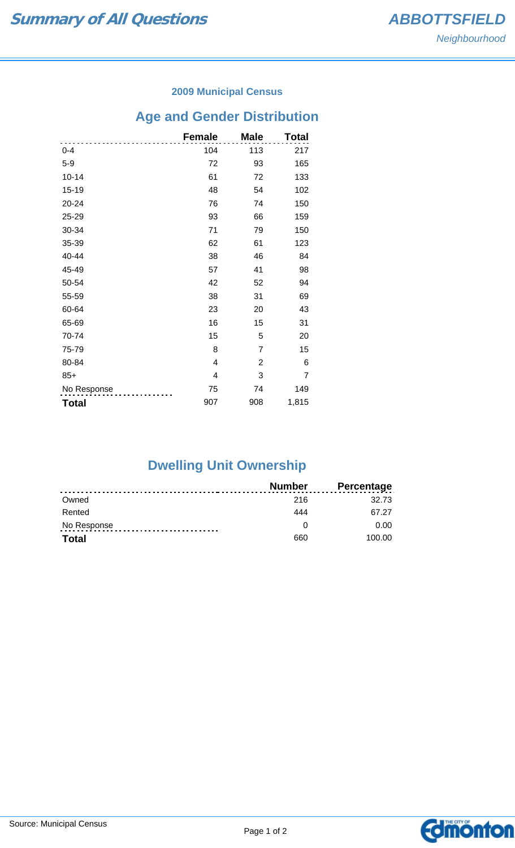### **2009 Municipal Census**

# **Age and Gender Distribution**

|              | <b>Female</b> | <b>Male</b>    | <b>Total</b> |
|--------------|---------------|----------------|--------------|
| $0 - 4$      | 104           | 113            | 217          |
| $5-9$        | 72            | 93             | 165          |
| $10 - 14$    | 61            | 72             | 133          |
| 15-19        | 48            | 54             | 102          |
| 20-24        | 76            | 74             | 150          |
| 25-29        | 93            | 66             | 159          |
| 30-34        | 71            | 79             | 150          |
| 35-39        | 62            | 61             | 123          |
| 40-44        | 38            | 46             | 84           |
| 45-49        | 57            | 41             | 98           |
| 50-54        | 42            | 52             | 94           |
| 55-59        | 38            | 31             | 69           |
| 60-64        | 23            | 20             | 43           |
| 65-69        | 16            | 15             | 31           |
| 70-74        | 15            | 5              | 20           |
| 75-79        | 8             | $\overline{7}$ | 15           |
| 80-84        | 4             | 2              | 6            |
| $85+$        | 4             | 3              | 7            |
| No Response  | 75            | 74             | 149          |
| <b>Total</b> | 907           | 908            | 1,815        |

## **Dwelling Unit Ownership**

|              | <b>Number</b> | <b>Percentage</b> |
|--------------|---------------|-------------------|
| Owned        | 216           | 32.73             |
| Rented       | 444           | 67 27             |
| No Response  |               | 0.00              |
| <b>Total</b> | 660           | 100.00            |